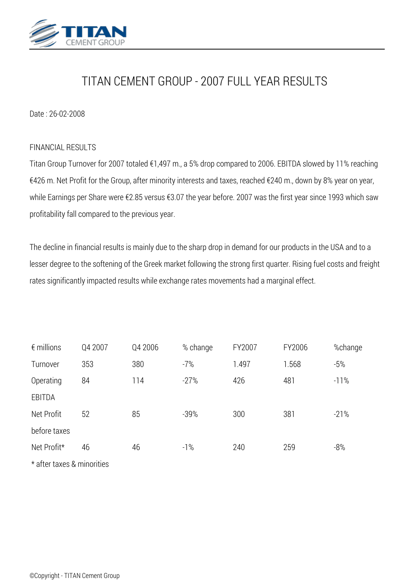

# *TITAN CEMENT GROUP - 2007 FULL YEAR RESULTS*

## *Date : 26-02-2008*

#### *FINANCIAL RESULTS*

*Titan Group Turnover for 2007 totaled €1,497 m., a 5% drop compared to 2006. EBITDA slowed by 11% reaching €426 m. Net Profit for the Group, after minority interests and taxes, reached €240 m., down by 8% year on year, while Earnings per Share were €2.85 versus €3.07 the year before. 2007 was the first year since 1993 which saw profitability fall compared to the previous year.*

*The decline in financial results is mainly due to the sharp drop in demand for our products in the USA and to a lesser degree to the softening of the Greek market following the strong first quarter. Rising fuel costs and freight rates significantly impacted results while exchange rates movements had a marginal effect.*

| $\epsilon$ millions | Q4 2007 | Q4 2006 | % change | FY2007 | FY2006 | %change |
|---------------------|---------|---------|----------|--------|--------|---------|
| Turnover            | 353     | 380     | $-7%$    | 1.497  | 1.568  | $-5%$   |
| Operating           | 84      | 114     | $-27%$   | 426    | 481    | $-11%$  |
| EBITDA              |         |         |          |        |        |         |
| Net Profit          | 52      | 85      | $-39%$   | 300    | 381    | $-21%$  |
| before taxes        |         |         |          |        |        |         |
| Net Profit*         | 46      | 46      | $-1%$    | 240    | 259    | $-8%$   |
|                     |         |         |          |        |        |         |

*\* after taxes & minorities*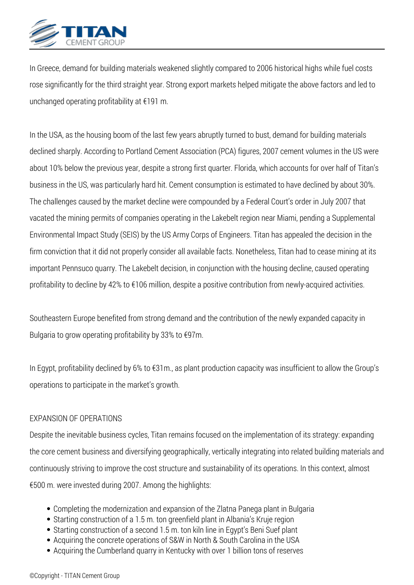

*In Greece, demand for building materials weakened slightly compared to 2006 historical highs while fuel costs rose significantly for the third straight year. Strong export markets helped mitigate the above factors and led to unchanged operating profitability at €191 m.*

*In the USA, as the housing boom of the last few years abruptly turned to bust, demand for building materials declined sharply. According to Portland Cement Association (PCA) figures, 2007 cement volumes in the US were about 10% below the previous year, despite a strong first quarter. Florida, which accounts for over half of Titan's business in the US, was particularly hard hit. Cement consumption is estimated to have declined by about 30%. The challenges caused by the market decline were compounded by a Federal Court's order in July 2007 that vacated the mining permits of companies operating in the Lakebelt region near Miami, pending a Supplemental Environmental Impact Study (SEIS) by the US Army Corps of Engineers. Titan has appealed the decision in the firm conviction that it did not properly consider all available facts. Nonetheless, Titan had to cease mining at its important Pennsuco quarry. The Lakebelt decision, in conjunction with the housing decline, caused operating profitability to decline by 42% to €106 million, despite a positive contribution from newly-acquired activities.*

*Southeastern Europe benefited from strong demand and the contribution of the newly expanded capacity in Bulgaria to grow operating profitability by 33% to €97m.*

*In Egypt, profitability declined by 6% to €31m., as plant production capacity was insufficient to allow the Group's operations to participate in the market's growth.*

# *EXPANSION OF OPERATIONS*

*Despite the inevitable business cycles, Titan remains focused on the implementation of its strategy: expanding the core cement business and diversifying geographically, vertically integrating into related building materials and continuously striving to improve the cost structure and sustainability of its operations. In this context, almost €500 m. were invested during 2007. Among the highlights:*

- *Completing the modernization and expansion of the Zlatna Panega plant in Bulgaria*
- *Starting construction of a 1.5 m. ton greenfield plant in Albania's Kruje region*
- *Starting construction of a second 1.5 m. ton kiln line in Egypt's Beni Suef plant*
- *Acquiring the concrete operations of S&W in North & South Carolina in the USA*
- *Acquiring the Cumberland quarry in Kentucky with over 1 billion tons of reserves*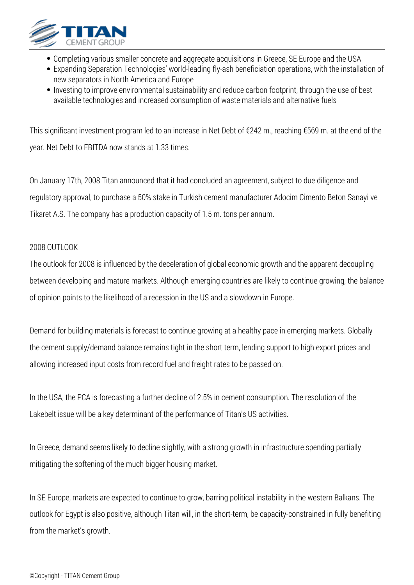

- *Completing various smaller concrete and aggregate acquisitions in Greece, SE Europe and the USA*
- *Expanding Separation Technologies' world-leading fly-ash beneficiation operations, with the installation of new separators in North America and Europe*
- *Investing to improve environmental sustainability and reduce carbon footprint, through the use of best available technologies and increased consumption of waste materials and alternative fuels*

*This significant investment program led to an increase in Net Debt of €242 m., reaching €569 m. at the end of the year. Net Debt to EBITDA now stands at 1.33 times.*

*On January 17th, 2008 Titan announced that it had concluded an agreement, subject to due diligence and regulatory approval, to purchase a 50% stake in Turkish cement manufacturer Adocim Cimento Beton Sanayi ve Tikaret A.S. The company has a production capacity of 1.5 m. tons per annum.*

# *2008 OUTLOOK*

*The outlook for 2008 is influenced by the deceleration of global economic growth and the apparent decoupling between developing and mature markets. Although emerging countries are likely to continue growing, the balance of opinion points to the likelihood of a recession in the US and a slowdown in Europe.*

*Demand for building materials is forecast to continue growing at a healthy pace in emerging markets. Globally the cement supply/demand balance remains tight in the short term, lending support to high export prices and allowing increased input costs from record fuel and freight rates to be passed on.*

*In the USA, the PCA is forecasting a further decline of 2.5% in cement consumption. The resolution of the Lakebelt issue will be a key determinant of the performance of Titan's US activities.*

*In Greece, demand seems likely to decline slightly, with a strong growth in infrastructure spending partially mitigating the softening of the much bigger housing market.*

*In SE Europe, markets are expected to continue to grow, barring political instability in the western Balkans. The outlook for Egypt is also positive, although Titan will, in the short-term, be capacity-constrained in fully benefiting from the market's growth.*